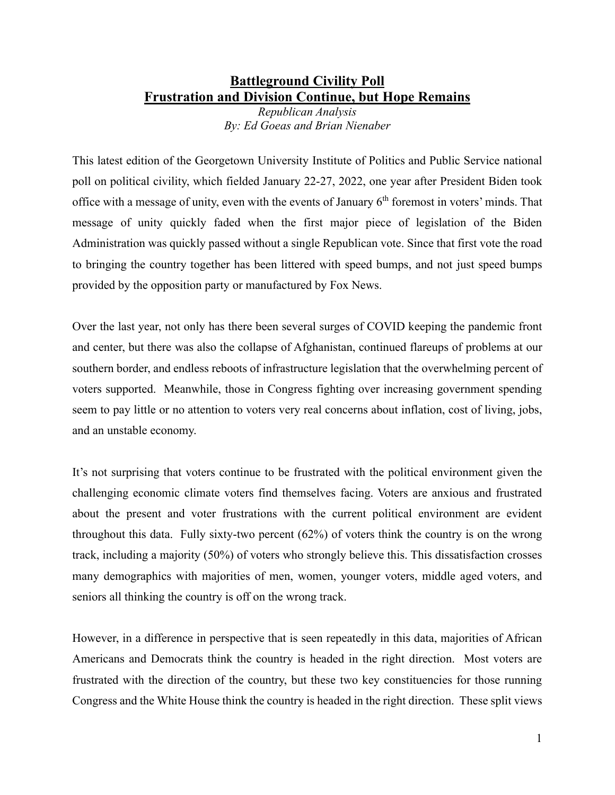## **Battleground Civility Poll Frustration and Division Continue, but Hope Remains**

*Republican Analysis By: Ed Goeas and Brian Nienaber*

This latest edition of the Georgetown University Institute of Politics and Public Service national poll on political civility, which fielded January 22-27, 2022, one year after President Biden took office with a message of unity, even with the events of January  $6<sup>th</sup>$  foremost in voters' minds. That message of unity quickly faded when the first major piece of legislation of the Biden Administration was quickly passed without a single Republican vote. Since that first vote the road to bringing the country together has been littered with speed bumps, and not just speed bumps provided by the opposition party or manufactured by Fox News.

Over the last year, not only has there been several surges of COVID keeping the pandemic front and center, but there was also the collapse of Afghanistan, continued flareups of problems at our southern border, and endless reboots of infrastructure legislation that the overwhelming percent of voters supported. Meanwhile, those in Congress fighting over increasing government spending seem to pay little or no attention to voters very real concerns about inflation, cost of living, jobs, and an unstable economy.

It's not surprising that voters continue to be frustrated with the political environment given the challenging economic climate voters find themselves facing. Voters are anxious and frustrated about the present and voter frustrations with the current political environment are evident throughout this data. Fully sixty-two percent (62%) of voters think the country is on the wrong track, including a majority (50%) of voters who strongly believe this. This dissatisfaction crosses many demographics with majorities of men, women, younger voters, middle aged voters, and seniors all thinking the country is off on the wrong track.

However, in a difference in perspective that is seen repeatedly in this data, majorities of African Americans and Democrats think the country is headed in the right direction. Most voters are frustrated with the direction of the country, but these two key constituencies for those running Congress and the White House think the country is headed in the right direction. These split views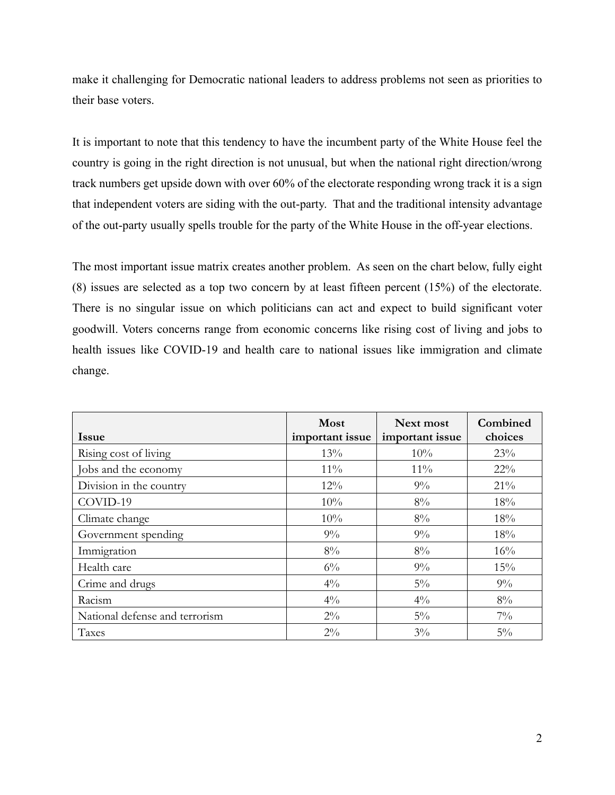make it challenging for Democratic national leaders to address problems not seen as priorities to their base voters.

It is important to note that this tendency to have the incumbent party of the White House feel the country is going in the right direction is not unusual, but when the national right direction/wrong track numbers get upside down with over 60% of the electorate responding wrong track it is a sign that independent voters are siding with the out-party. That and the traditional intensity advantage of the out-party usually spells trouble for the party of the White House in the off-year elections.

The most important issue matrix creates another problem. As seen on the chart below, fully eight (8) issues are selected as a top two concern by at least fifteen percent (15%) of the electorate. There is no singular issue on which politicians can act and expect to build significant voter goodwill. Voters concerns range from economic concerns like rising cost of living and jobs to health issues like COVID-19 and health care to national issues like immigration and climate change.

| <b>Issue</b>                   | Most<br>important issue | Next most<br>important issue | Combined<br>choices |
|--------------------------------|-------------------------|------------------------------|---------------------|
| Rising cost of living          | 13%                     | 10%                          | 23%                 |
| Jobs and the economy           | $11\%$                  | $11\%$                       | $22\%$              |
| Division in the country        | 12%                     | $9\%$                        | 21%                 |
| COVID-19                       | 10%                     | $8\%$                        | 18%                 |
| Climate change                 | 10%                     | $8\%$                        | 18%                 |
| Government spending            | $9\%$                   | $9\%$                        | 18%                 |
| Immigration                    | $8\%$                   | $8\%$                        | 16%                 |
| Health care                    | $6\%$                   | $9\%$                        | 15%                 |
| Crime and drugs                | $4\%$                   | $5\%$                        | $9\%$               |
| Racism                         | $4\%$                   | $4\frac{0}{0}$               | $8\%$               |
| National defense and terrorism | $2\%$                   | $5\%$                        | $7\%$               |
| Taxes                          | $2\%$                   | $3\%$                        | $5\%$               |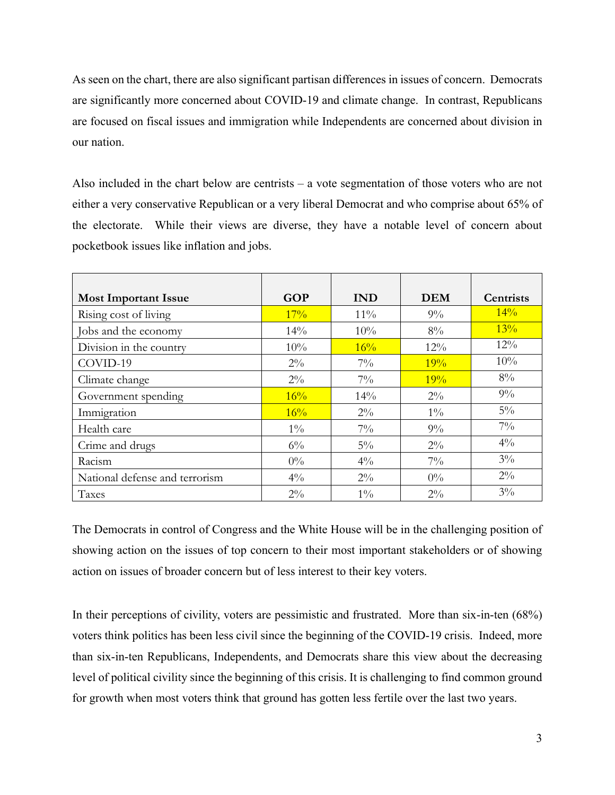As seen on the chart, there are also significant partisan differences in issues of concern. Democrats are significantly more concerned about COVID-19 and climate change. In contrast, Republicans are focused on fiscal issues and immigration while Independents are concerned about division in our nation.

Also included in the chart below are centrists – a vote segmentation of those voters who are not either a very conservative Republican or a very liberal Democrat and who comprise about 65% of the electorate. While their views are diverse, they have a notable level of concern about pocketbook issues like inflation and jobs.

| <b>Most Important Issue</b>    | <b>GOP</b> | <b>IND</b> | <b>DEM</b> | Centrists      |
|--------------------------------|------------|------------|------------|----------------|
| Rising cost of living          | 17%        | $11\%$     | $9\%$      | 14%            |
| Jobs and the economy           | 14%        | 10%        | $8\%$      | 13%            |
| Division in the country        | 10%        | 16%        | 12%        | $12\%$         |
| COVID-19                       | $2\%$      | $7\%$      | 19%        | 10%            |
| Climate change                 | $2\%$      | $7\%$      | 19%        | $8\%$          |
| Government spending            | 16%        | 14%        | $2\%$      | $9\%$          |
| Immigration                    | 16%        | $2\%$      | $1\%$      | $5\%$          |
| Health care                    | $1\%$      | $7\%$      | $9\%$      | $7\%$          |
| Crime and drugs                | $6\%$      | $5\%$      | $2\%$      | $4\frac{0}{0}$ |
| Racism                         | $0\%$      | $4\%$      | $7\%$      | $3\%$          |
| National defense and terrorism | $4\%$      | $2\%$      | $0\%$      | $2\%$          |
| Taxes                          | $2\%$      | $1\%$      | $2\%$      | $3\%$          |

The Democrats in control of Congress and the White House will be in the challenging position of showing action on the issues of top concern to their most important stakeholders or of showing action on issues of broader concern but of less interest to their key voters.

In their perceptions of civility, voters are pessimistic and frustrated. More than six-in-ten (68%) voters think politics has been less civil since the beginning of the COVID-19 crisis. Indeed, more than six-in-ten Republicans, Independents, and Democrats share this view about the decreasing level of political civility since the beginning of this crisis. It is challenging to find common ground for growth when most voters think that ground has gotten less fertile over the last two years.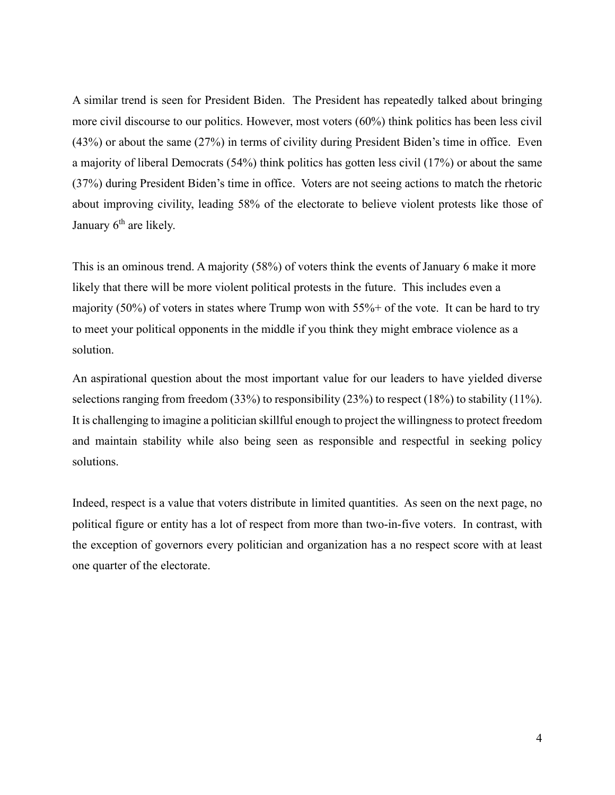A similar trend is seen for President Biden. The President has repeatedly talked about bringing more civil discourse to our politics. However, most voters (60%) think politics has been less civil (43%) or about the same (27%) in terms of civility during President Biden's time in office. Even a majority of liberal Democrats (54%) think politics has gotten less civil (17%) or about the same (37%) during President Biden's time in office. Voters are not seeing actions to match the rhetoric about improving civility, leading 58% of the electorate to believe violent protests like those of January  $6<sup>th</sup>$  are likely.

This is an ominous trend. A majority (58%) of voters think the events of January 6 make it more likely that there will be more violent political protests in the future. This includes even a majority (50%) of voters in states where Trump won with 55%+ of the vote. It can be hard to try to meet your political opponents in the middle if you think they might embrace violence as a solution.

An aspirational question about the most important value for our leaders to have yielded diverse selections ranging from freedom (33%) to responsibility (23%) to respect (18%) to stability (11%). It is challenging to imagine a politician skillful enough to project the willingness to protect freedom and maintain stability while also being seen as responsible and respectful in seeking policy solutions.

Indeed, respect is a value that voters distribute in limited quantities. As seen on the next page, no political figure or entity has a lot of respect from more than two-in-five voters. In contrast, with the exception of governors every politician and organization has a no respect score with at least one quarter of the electorate.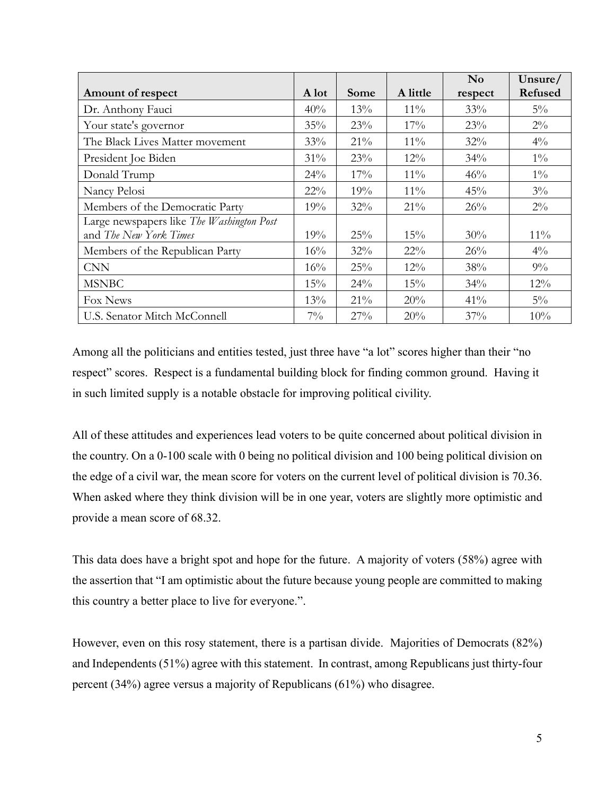|                                           |        |      |          | $\mathbf{N}\mathbf{o}$ | Unsure/ |
|-------------------------------------------|--------|------|----------|------------------------|---------|
| Amount of respect                         | A lot  | Some | A little | respect                | Refused |
| Dr. Anthony Fauci                         | 40%    | 13%  | $11\%$   | 33%                    | $5\%$   |
| Your state's governor                     | 35%    | 23%  | 17%      | 23%                    | $2\%$   |
| The Black Lives Matter movement           | 33%    | 21%  | $11\%$   | 32%                    | $4\%$   |
| President Joe Biden                       | 31%    | 23%  | $12\%$   | 34%                    | $1\%$   |
| Donald Trump                              | 24%    | 17%  | $11\%$   | 46%                    | $1\%$   |
| Nancy Pelosi                              | $22\%$ | 19%  | $11\%$   | 45%                    | $3\%$   |
| Members of the Democratic Party           | 19%    | 32%  | $21\%$   | 26%                    | $2\%$   |
| Large newspapers like The Washington Post |        |      |          |                        |         |
| and The New York Times                    | 19%    | 25%  | 15%      | 30%                    | $11\%$  |
| Members of the Republican Party           | 16%    | 32%  | $22\%$   | 26%                    | $4\%$   |
| <b>CNN</b>                                | 16%    | 25%  | $12\%$   | 38%                    | $9\%$   |
| <b>MSNBC</b>                              | 15%    | 24%  | 15%      | 34%                    | 12%     |
| Fox News                                  | 13%    | 21%  | 20%      | 41%                    | $5\%$   |
| U.S. Senator Mitch McConnell              | $7\%$  | 27%  | 20%      | 37%                    | 10%     |

Among all the politicians and entities tested, just three have "a lot" scores higher than their "no respect" scores. Respect is a fundamental building block for finding common ground. Having it in such limited supply is a notable obstacle for improving political civility.

All of these attitudes and experiences lead voters to be quite concerned about political division in the country. On a 0-100 scale with 0 being no political division and 100 being political division on the edge of a civil war, the mean score for voters on the current level of political division is 70.36. When asked where they think division will be in one year, voters are slightly more optimistic and provide a mean score of 68.32.

This data does have a bright spot and hope for the future. A majority of voters (58%) agree with the assertion that "I am optimistic about the future because young people are committed to making this country a better place to live for everyone.".

However, even on this rosy statement, there is a partisan divide. Majorities of Democrats (82%) and Independents (51%) agree with this statement. In contrast, among Republicans just thirty-four percent (34%) agree versus a majority of Republicans (61%) who disagree.